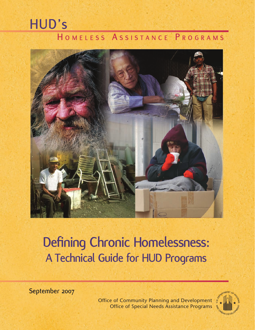# **HUD's H o m e l e s s A s s i s t A n c e P r o g r A m s**



# **Defining Chronic Homelessness: A Technical Guide for HUD Programs**

**September 2007**

Office of Community Planning and Development Office of Special Needs Assistance Programs

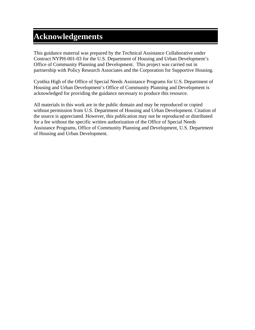# **Acknowledgements**

This guidance material was prepared by the Technical Assistance Collaborative under Contract NYPH-001-03 for the U.S. Department of Housing and Urban Development's Office of Community Planning and Development. This project was carried out in partnership with Policy Research Associates and the Corporation for Supportive Housing.

Cynthia High of the Office of Special Needs Assistance Programs for U.S. Department of Housing and Urban Development's Office of Community Planning and Development is acknowledged for providing the guidance necessary to produce this resource.

All materials in this work are in the public domain and may be reproduced or copied without permission from U.S. Department of Housing and Urban Development. Citation of the source is appreciated. However, this publication may not be reproduced or distributed for a fee without the specific written authorization of the Office of Special Needs Assistance Programs, Office of Community Planning and Development, U.S. Department of Housing and Urban Development.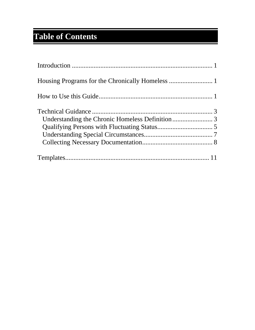# **Table of Contents**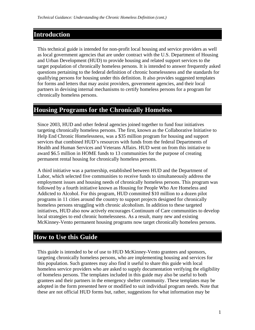# <span id="page-3-0"></span>**Introduction**

This technical guide is intended for non-profit local housing and service providers as well as local government agencies that are under contract with the U.S. Department of Housing and Urban Development (HUD) to provide housing and related support services to the target population of chronically homeless persons. It is intended to answer frequently asked questions pertaining to the federal definition of chronic homelessness and the standards for qualifying persons for housing under this definition. It also provides suggested templates for forms and letters that may assist providers, government agencies, and their local partners in devising internal mechanisms to certify homeless persons for a program for chronically homeless persons.

## **Housing Programs for the Chronically Homeless**

Since 2003, HUD and other federal agencies joined together to fund four initiatives targeting chronically homeless persons. The first, known as the Collaborative Initiative to Help End Chronic Homelessness, was a \$35 million program for housing and support services that combined HUD's resources with funds from the federal Departments of Health and Human Services and Veterans Affairs. HUD went on from this initiative to award \$6.5 million in HOME funds to 13 communities for the purpose of creating permanent rental housing for chronically homeless persons.

A third initiative was a partnership, established between HUD and the Department of Labor, which selected five communities to receive funds to simultaneously address the employment issues and housing needs of chronically homeless persons. This program was followed by a fourth initiative known as Housing for People Who Are Homeless and Addicted to Alcohol. For this program, HUD committed \$10 million to a dozen pilot programs in 11 cities around the country to support projects designed for chronically homeless persons struggling with chronic alcoholism. In addition to these targeted initiatives, HUD also now actively encourages Continuum of Care communities to develop local strategies to end chronic homelessness. As a result, many new and existing McKinney-Vento permanent housing programs now target chronically homeless persons.

# **How to Use this Guide**

This guide is intended to be of use to HUD McKinney-Vento grantees and sponsors, targeting chronically homeless persons, who are implementing housing and services for this population. Such grantees may also find it useful to share this guide with local homeless service providers who are asked to supply documentation verifying the eligibility of homeless persons. The templates included in this guide may also be useful to both grantees and their partners in the emergency shelter community. These templates may be adopted in the form presented here or modified to suit individual program needs. Note that these are not official HUD forms but, rather, suggestions for what information may be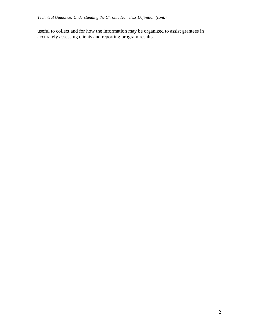useful to collect and for how the information may be organized to assist grantees in accurately assessing clients and reporting program results.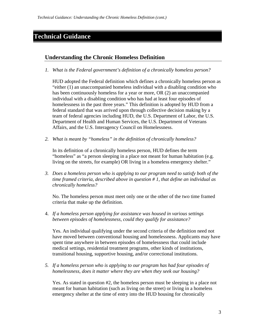# <span id="page-5-0"></span>**Technical Guidance**

#### **Understanding the Chronic Homeless Definition**

*1. What is the Federal government's definition of a chronically homeless person?* 

HUD adopted the Federal definition which defines a chronically homeless person as "either (1) an unaccompanied homeless individual with a disabling condition who has been continuously homeless for a year or more, OR (2) an unaccompanied individual with a disabling condition who has had at least four episodes of homelessness in the past three years." This definition is adopted by HUD from a federal standard that was arrived upon through collective decision making by a team of federal agencies including HUD, the U.S. Department of Labor, the U.S. Department of Health and Human Services, the U.S. Department of Veterans Affairs, and the U.S. Interagency Council on Homelessness.

*2. What is meant by "homeless" in the definition of chronically homeless?* 

In its definition of a chronically homeless person, HUD defines the term "homeless" as "a person sleeping in a place not meant for human habitation (e.g. living on the streets, for example) OR living in a homeless emergency shelter."

*3. Does a homeless person who is applying to our program need to satisfy both of the time framed criteria, described above in question # 1, that define an individual as chronically homeless?* 

No. The homeless person must meet only one or the other of the two time framed criteria that make up the definition.

4. *If a homeless person applying for assistance was housed in various settings between episodes of homelessness, could they qualify for assistance?* 

Yes. An individual qualifying under the second criteria of the definition need not have moved between conventional housing and homelessness. Applicants may have spent time anywhere in between episodes of homelessness that could include medical settings, residential treatment programs, other kinds of institutions, transitional housing, supportive housing, and/or correctional institutions.

*5. If a homeless person who is applying to our program has had four episodes of homelessness, does it matter where they are when they seek our housing?* 

Yes. As stated in question #2, the homeless person must be sleeping in a place not meant for human habitation (such as living on the street) or living in a homeless emergency shelter at the time of entry into the HUD housing for chronically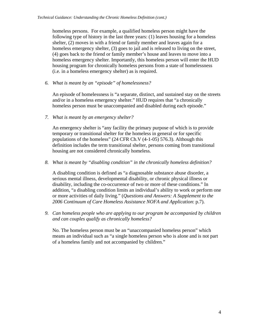homeless persons. For example, a qualified homeless person might have the following type of history in the last three years: (1) leaves housing for a homeless shelter, (2) moves in with a friend or family member and leaves again for a homeless emergency shelter, (3) goes to jail and is released to living on the street, (4) goes back to the friend or family member's house and leaves to move into a homeless emergency shelter. Importantly, this homeless person will enter the HUD housing program for chronically homeless persons from a state of homelessness (i.e. in a homeless emergency shelter) as is required.

*6. What is meant by an "episode" of homelessness?* 

An episode of homelessness is "a separate, distinct, and sustained stay on the streets and/or in a homeless emergency shelter." HUD requires that "a chronically homeless person must be unaccompanied and disabled during each episode."

*7. What is meant by an emergency shelter?* 

An emergency shelter is "any facility the primary purpose of which is to provide temporary or transitional shelter for the homeless in general or for specific populations of the homeless" (24 CFR Ch.V (4-1-05) 576.3). Although this definition includes the term transitional shelter, persons coming from transitional housing are not considered chronically homeless.

*8. What is meant by "disabling condition" in the chronically homeless definition?* 

A disabling condition is defined as "a diagnosable substance abuse disorder, a serious mental illness, developmental disability, or chronic physical illness or disability, including the co-occurrence of two or more of these conditions." In addition, "a disabling condition limits an individual's ability to work or perform one or more activities of daily living." (*Questions and Answers: A Supplement to the 2006 Continuum of Care Homeless Assistance NOFA and Application*: p.7).

*9. Can homeless people who are applying to our program be accompanied by children and can couples qualify as chronically homeless?* 

No. The homeless person must be an "unaccompanied homeless person" which means an individual such as "a single homeless person who is alone and is not part of a homeless family and not accompanied by children."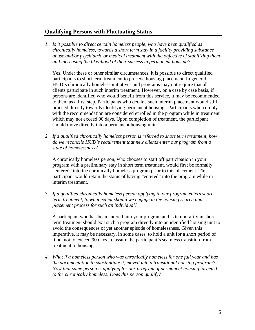#### <span id="page-7-0"></span>**Qualifying Persons with Fluctuating Status**

*1. Is it possible to direct certain homeless people, who have been qualified as chronically homeless, towards a short term stay in a facility providing substance abuse and/or psychiatric or medical treatment with the objective of stabilizing them and increasing the likelihood of their success in permanent housing?* 

Yes. Under these or other similar circumstances, it is possible to direct qualified participants to short term treatment to precede housing placement. In general, HUD's chronically homeless initiatives and programs may not require that all clients participate in such interim treatment. However, on a case by case basis, if persons are identified who would benefit from this service, it may be recommended to them as a first step. Participants who decline such interim placement would still proceed directly towards identifying permanent housing. Participants who comply with the recommendation are considered enrolled in the program while in treatment which may not exceed 90 days. Upon completion of treatment, the participant should move directly into a permanent housing unit.

*2. If a qualified chronically homeless person is referred to short term treatment, how do we reconcile HUD's requirement that new clients enter our program from a state of homelessness?* 

A chronically homeless person, who chooses to start off participation in your program with a preliminary stay in short term treatment, would first be formally "entered" into the chronically homeless program prior to this placement. This participant would retain the status of having "entered" into the program while in interim treatment.

*3. If a qualified chronically homeless person applying to our program enters short term treatment, to what extent should we engage in the housing search and placement process for such an individual?* 

A participant who has been entered into your program and is temporarily in short term treatment should exit such a program directly into an identified housing unit to avoid the consequences of yet another episode of homelessness. Given this imperative, it may be necessary, in some cases, to hold a unit for a short period of time, not to exceed 90 days, to assure the participant's seamless transition from treatment to housing.

*4. What if a homeless person who was chronically homeless for one full year and has the documentation to substantiate it, moved into a transitional housing program? Now that same person is applying for our program of permanent housing targeted to the chronically homeless. Does this person qualify?*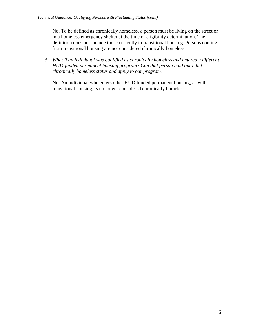No. To be defined as chronically homeless, a person must be living on the street or in a homeless emergency shelter at the time of eligibility determination. The definition does not include those currently in transitional housing. Persons coming from transitional housing are not considered chronically homeless.

*5. What if an individual was qualified as chronically homeless and entered a different HUD-funded permanent housing program? Can that person hold onto that chronically homeless status and apply to our program?* 

No. An individual who enters other HUD funded permanent housing, as with transitional housing, is no longer considered chronically homeless.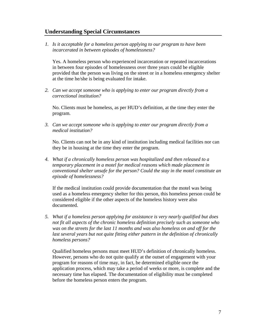#### <span id="page-9-0"></span>**Understanding Special Circumstances**

*1. Is it acceptable for a homeless person applying to our program to have been incarcerated in between episodes of homelessness?* 

Yes. A homeless person who experienced incarceration or repeated incarcerations in between four episodes of homelessness over three years could be eligible provided that the person was living on the street or in a homeless emergency shelter at the time he/she is being evaluated for intake.

*2. Can we accept someone who is applying to enter our program directly from a correctional institution?* 

No. Clients must be homeless, as per HUD's definition, at the time they enter the program.

*3. Can we accept someone who is applying to enter our program directly from a medical institution?* 

No. Clients can not be in any kind of institution including medical facilities nor can they be in housing at the time they enter the program.

*4. What if a chronically homeless person was hospitalized and then released to a temporary placement in a motel for medical reasons which made placement in conventional shelter unsafe for the person? Could the stay in the motel constitute an episode of homelessness?* 

If the medical institution could provide documentation that the motel was being used as a homeless emergency shelter for this person, this homeless person could be considered eligible if the other aspects of the homeless history were also documented.

*5. What if a homeless person applying for assistance is very nearly qualified but does not fit all aspects of the chronic homeless definition precisely such as someone who was on the streets for the last 11 months and was also homeless on and off for the last several years but not quite fitting either pattern in the definition of chronically homeless persons?* 

Qualified homeless persons must meet HUD's definition of chronically homeless. However, persons who do not quite qualify at the outset of engagement with your program for reasons of time may, in fact, be determined eligible once the application process, which may take a period of weeks or more, is complete and the necessary time has elapsed. The documentation of eligibility must be completed before the homeless person enters the program.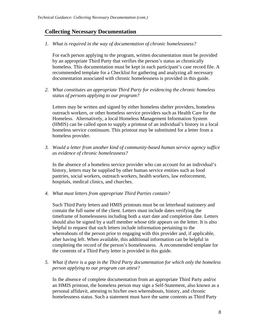#### <span id="page-10-0"></span>**Collecting Necessary Documentation**

*1. What is required in the way of documentation of chronic homelessness?* 

For each person applying to the program, written documentation must be provided by an appropriate Third Party that verifies the person's status as chronically homeless. This documentation must be kept in each participant's case record file. A recommended template for a Checklist for gathering and analyzing all necessary documentation associated with chronic homelessness is provided in this guide.

*2. What constitutes an appropriate Third Party for evidencing the chronic homeless status of persons applying to our program?* 

Letters may be written and signed by either homeless shelter providers, homeless outreach workers, or other homeless service providers such as Health Care for the Homeless. Alternatively, a local Homeless Management Information System (HMIS) can be called upon to supply a printout of an individual's history in a local homeless service continuum. This printout may be substituted for a letter from a homeless provider.

*3. Would a letter from another kind of community-based human service agency suffice as evidence of chronic homelessness?* 

In the absence of a homeless service provider who can account for an individual's history, letters may be supplied by other human service entities such as food pantries, social workers, outreach workers, health workers, law enforcement, hospitals, medical clinics, and churches.

*4. What must letters from appropriate Third Parties contain?* 

Such Third Party letters and HMIS printouts must be on letterhead stationery and contain the full name of the client. Letters must include dates verifying the timeframe of homelessness including both a start date and completion date. Letters should also be signed by a staff member whose title appears on the letter. It is also helpful to request that such letters include information pertaining to the whereabouts of the person prior to engaging with this provider and, if applicable, after having left. When available, this additional information can be helpful in completing the record of the person's homelessness. A recommended template for the contents of a Third Party letter is provided in this guide.

*5. What if there is a gap in the Third Party documentation for which only the homeless person applying to our program can attest?* 

In the absence of complete documentation from an appropriate Third Party and/or an HMIS printout, the homeless person may sign a Self-Statement, also known as a personal affidavit, attesting to his/her own whereabouts, history, and chronic homelessness status. Such a statement must have the same contents as Third Party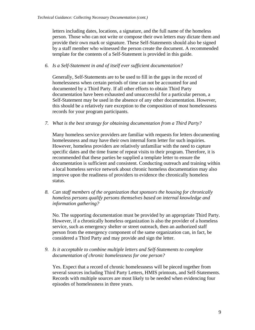letters including dates, locations, a signature, and the full name of the homeless person. Those who can not write or compose their own letters may dictate them and provide their own mark or signature. These Self-Statements should also be signed by a staff member who witnessed the person create the document. A recommended template for the contents of a Self-Statement is provided in this guide.

#### *6. Is a Self-Statement in and of itself ever sufficient documentation?*

Generally, Self-Statements are to be used to fill in the gaps in the record of homelessness when certain periods of time can not be accounted for and documented by a Third Party. If all other efforts to obtain Third Party documentation have been exhausted and unsuccessful for a particular person, a Self-Statement may be used in the absence of any other documentation. However, this should be a relatively rare exception to the composition of most homelessness records for your program participants.

*7. What is the best strategy for obtaining documentation from a Third Party?* 

Many homeless service providers are familiar with requests for letters documenting homelessness and may have their own internal form letter for such inquiries. However, homeless providers are relatively unfamiliar with the need to capture specific dates and the time frame of repeat visits to their program. Therefore, it is recommended that these parties be supplied a template letter to ensure the documentation is sufficient and consistent. Conducting outreach and training within a local homeless service network about chronic homeless documentation may also improve upon the readiness of providers to evidence the chronically homeless status.

*8. Can staff members of the organization that sponsors the housing for chronically homeless persons qualify persons themselves based on internal knowledge and information gathering?* 

No. The supporting documentation must be provided by an appropriate Third Party. However, if a chronically homeless organization is also the provider of a homeless service, such as emergency shelter or street outreach, then an authorized staff person from the emergency component of the same organization can, in fact, be considered a Third Party and may provide and sign the letter.

*9. Is it acceptable to combine multiple letters and Self-Statements to complete documentation of chronic homelessness for one person?* 

Yes. Expect that a record of chronic homelessness will be pieced together from several sources including Third Party Letters, HMIS printouts, and Self-Statements. Records with multiple sources are most likely to be needed when evidencing four episodes of homelessness in three years.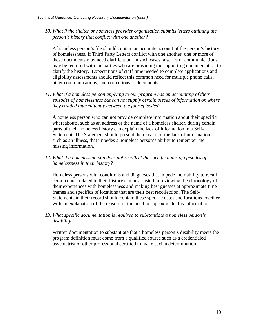*10. What if the shelter or homeless provider organization submits letters outlining the person's history that conflict with one another?* 

A homeless person's file should contain an accurate account of the person's history of homelessness. If Third Party Letters conflict with one another, one or more of these documents may need clarification. In such cases, a series of communications may be required with the parties who are providing the supporting documentation to clarify the history. Expectations of staff time needed to complete applications and eligibility assessments should reflect this common need for multiple phone calls, other communications, and corrections to documents.

*11. What if a homeless person applying to our program has an accounting of their episodes of homelessness but can not supply certain pieces of information on where they resided intermittently between the four episodes?* 

A homeless person who can not provide complete information about their specific whereabouts, such as an address or the name of a homeless shelter, during certain parts of their homeless history can explain the lack of information in a Self-Statement. The Statement should present the reason for the lack of information, such as an illness, that impedes a homeless person's ability to remember the missing information.

*12. What if a homeless person does not recollect the specific dates of episodes of homelessness in their history?* 

Homeless persons with conditions and diagnoses that impede their ability to recall certain dates related to their history can be assisted in reviewing the chronology of their experiences with homelessness and making best guesses at approximate time frames and specifics of locations that are their best recollection. The Self-Statements in their record should contain these specific dates and locations together with an explanation of the reason for the need to approximate this information.

*13. What specific documentation is required to substantiate a homeless person's disability?* 

Written documentation to substantiate that a homeless person's disability meets the program definition must come from a qualified source such as a credentialed psychiatrist or other professional certified to make such a determination.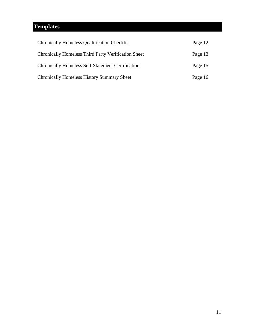# <span id="page-13-0"></span>**Templates**

| <b>Chronically Homeless Qualification Checklist</b>        | Page 12 |
|------------------------------------------------------------|---------|
| <b>Chronically Homeless Third Party Verification Sheet</b> | Page 13 |
| <b>Chronically Homeless Self-Statement Certification</b>   | Page 15 |
| <b>Chronically Homeless History Summary Sheet</b>          | Page 16 |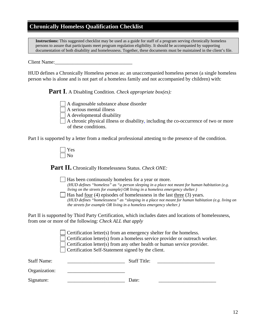#### **Chronically Homeless Qualification Checklist**

**Instructions:** This suggested checklist may be used as a guide for staff of a program serving chronically homeless persons to assure that participants meet program regulation eligibility. It should be accompanied by supporting documentation of both disability and homelessness. Together, these documents must be maintained in the client's file.

Client Name:

HUD defines a Chronically Homeless person as: an unaccompanied homeless person (a single homeless person who is alone and is not part of a homeless family and not accompanied by children) with:

**Part I**. A Disabling Condition. *Check appropriate box(es):*

A diagnosable substance abuse disorder

A serious mental illness

A developmental disability

 A chronic physical illness or disability, including the co-occurrence of two or more of these conditions.

Part I is supported by a letter from a medical professional attesting to the presence of the condition.

**Part II.** Chronically Homelessness Status. *Check ONE:*

 Has been continuously homeless for a year or more. *(HUD defines "homeless" as "a person sleeping in a place not meant for human habitation (e.g. living on the streets for example) OR living in a homeless emergency shelter.)*

 $\parallel$  Has had four (4) episodes of homelessness in the last three (3) years. *(HUD defines "homelessness" as "sleeping in a place not meant for human habitation (e.g. living on the streets for example OR living in a homeless emergency shelter.)*

Part II is supported by Third Party Certification, which includes dates and locations of homelessness, from one or more of the following: *Check ALL that apply*

> Certification letter(s) from an emergency shelter for the homeless. Certification letter(s) from a homeless service provider or outreach worker. Certification letter(s) from any other health or human service provider. Certification Self-Statement signed by the client.

| <b>Staff Name:</b> | <b>Staff Title:</b> |
|--------------------|---------------------|
| Organization:      |                     |
| Signature:         | Date:               |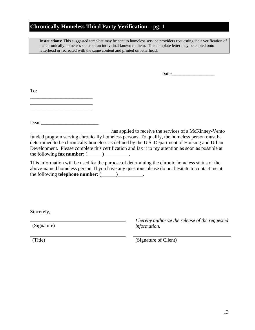### **Chronically Homeless Third Party Verification** – pg. 1

**Instructions:** This suggested template may be sent to homeless service providers requesting their verification of the chronically homeless status of an individual known to them. This template letter may be copied onto letterhead or recreated with the same content and printed on letterhead.

Date:

To:

\_\_\_\_\_\_\_\_\_\_\_\_\_\_\_\_\_\_\_\_\_\_\_\_\_ \_\_\_\_\_\_\_\_\_\_\_\_\_\_\_\_\_\_\_\_\_\_\_\_\_

\_\_\_\_\_\_\_\_\_\_\_\_\_\_\_\_\_\_\_\_\_\_\_\_\_

Dear \_\_\_\_\_\_\_\_\_\_\_\_\_\_\_\_\_\_\_\_\_\_\_,

has applied to receive the services of a McKinney-Vento funded program serving chronically homeless persons. To qualify, the homeless person must be determined to be chronically homeless as defined by the U.S. Department of Housing and Urban Development. Please complete this certification and fax it to my attention as soon as possible at the following **fax number**:  $($ 

This information will be used for the purpose of determining the chronic homeless status of the above-named homeless person. If you have any questions please do not hesitate to contact me at the following **telephone number**:  $($ 

Sincerely,

(Signature)

*I hereby authorize the release of the requested information.* 

(Title) (Signature of Client)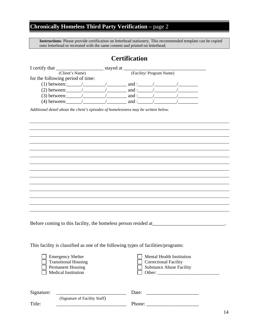# **Chronically Homeless Third Party Verification –** page 2

**Instructions**: Please provide certification on letterhead stationery. This recommended template can be copied onto letterhead or recreated with the same content and printed on letterhead.

# **Certification**

|                                   | stayed at |                          |  |
|-----------------------------------|-----------|--------------------------|--|
| (Client's Name)                   |           | (Facility/ Program Name) |  |
| for the following period of time: |           |                          |  |
| $(1)$ between:                    |           | and :                    |  |
| $(2)$ between:                    |           | and :                    |  |
| $(3)$ between:                    |           | and :                    |  |
| $(4)$ between:                    |           | and :                    |  |

*Additional detail about the client's episodes of homelessness may be written below.* 

Before coming to this facility, the homeless person resided at\_\_\_\_\_\_\_\_\_\_\_\_\_\_\_\_\_\_\_\_\_\_\_\_\_\_\_\_\_\_.

This facility is classified as one of the following types of facilities/programs:

| <b>Emergency Shelter</b>    | Mental Health Institution       |
|-----------------------------|---------------------------------|
| $\Box$ Transitional Housing | <b>Correctional Facility</b>    |
| <b>Permanent Housing</b>    | $\Box$ Substance Abuse Facility |
| Medical Institution         | Other:                          |

| Signature: |                               | Date:  |  |
|------------|-------------------------------|--------|--|
|            | (Signature of Facility Staff) |        |  |
| Title:     |                               | Phone: |  |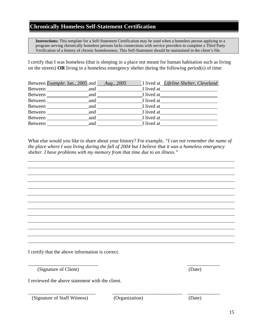#### **Chronically Homeless Self-Statement Certification**

**Instructions:** This template for a Self-Statement Certification may be used when a homeless person applying to a program serving chronically homeless persons lacks connections with service providers to complete a Third Party Verification of a history of chronic homelessness. This Self-Statement should be maintained in the client's file.

I certify that I was homeless (that is sleeping in a place not meant for human habitation such as living on the streets) **OR** living in a homeless emergency shelter during the following period(s) of time:

|                | Between <i>Example</i> : Jan., 2005 and |     | Aug., 2005 |            | I lived at <i>Lifeline Shelter</i> , <i>Cleveland</i> |
|----------------|-----------------------------------------|-----|------------|------------|-------------------------------------------------------|
| Between        |                                         | and |            | I lived at |                                                       |
| Between        |                                         | and |            | I lived at |                                                       |
| Between        |                                         | and |            | I lived at |                                                       |
| Between        |                                         | and |            | I lived at |                                                       |
| Between        |                                         | and |            | I lived at |                                                       |
| <b>Between</b> |                                         | and |            | I lived at |                                                       |
| <b>Between</b> |                                         | and |            | I lived at |                                                       |

What else would you like to share about your history? For example, *"I can not remember the name of the place where I was living during the fall of 2004 but I believe that it was a homeless emergency shelter. I have problems with my memory from that time due to an illness."* 

I certify that the above information is correct.

(Signature of Client) (Date)

I reviewed the above statement with the client.

(Signature of Staff Witness) (Organization) (Date)

 $\overline{\phantom{a}}$  , and the contract of the contract of the contract of the contract of the contract of the contract of the contract of the contract of the contract of the contract of the contract of the contract of the contrac

\_\_\_\_\_\_\_\_\_\_\_\_\_\_\_\_\_\_\_\_\_\_\_\_\_\_\_ \_\_\_\_\_\_\_\_\_\_\_\_\_\_\_\_\_\_\_\_\_\_\_\_\_\_\_\_ \_\_\_\_\_\_\_\_\_\_\_\_\_